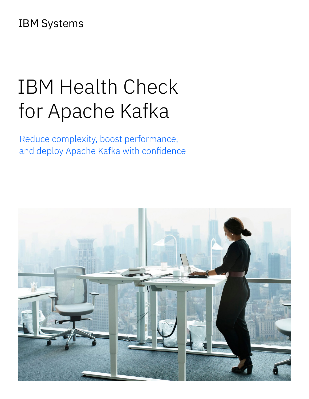# IBM Systems

# IBM Health Check for Apache Kafka

Reduce complexity, boost performance, and deploy Apache Kafka with confidence

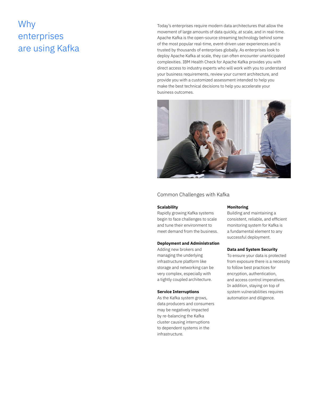## Why enterprises are using Kafka

Today's enterprises require modern data architectures that allow the movement of large amounts of data quickly, at scale, and in real-time. Apache Kafka is the open-source streaming technology behind some of the most popular real-time, event-driven user experiences and is trusted by thousands of enterprises globally. As enterprises look to deploy Apache Kafka at scale, they can often encounter unanticipated complexities. IBM Health Check for Apache Kafka provides you with direct access to industry experts who will work with you to understand your business requirements, review your current architecture, and provide you with a customized assessment intended to help you make the best technical decisions to help you accelerate your business outcomes.



### Common Challenges with Kafka

#### **Scalability**

Rapidly growing Kafka systems begin to face challenges to scale and tune their environment to meet demand from the business.

#### **Deployment and Administration**

Adding new brokers and managing the underlying infrastructure platform like storage and networking can be very complex, especially with a tightly coupled architecture.

#### **Service Interruptions**

As the Kafka system grows, data producers and consumers may be negatively impacted by re-balancing the Kafka cluster causing interruptions to dependent systems in the infrastructure.

#### **Monitoring**

Building and maintaining a consistent, reliable, and efficient monitoring system for Kafka is a fundamental element to any successful deployment.

#### **Data and System Security**

To ensure your data is protected from exposure there is a necessity to follow best practices for encryption, authentication, and access control imperatives. In addition, staying on top of system vulnerabilities requires automation and diligence.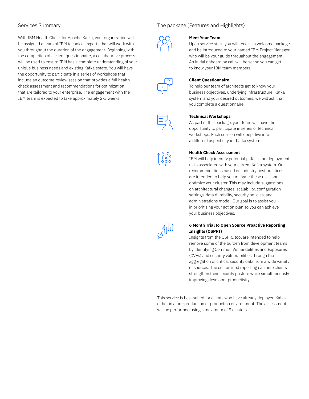With IBM Health Check for Apache Kafka, your organization will be assigned a team of IBM technical experts that will work with you throughout the duration of the engagement. Beginning with the completion of a client questionnaire, a collaborative process will be used to ensure IBM has a complete understanding of your unique business needs and existing Kafka estate. You will have the opportunity to participate in a series of workshops that include an outcome review session that provides a full health check assessment and recommendations for optimization that are tailored to your enterprise. The engagement with the IBM team is expected to take approximately 2-3 weeks.

#### Services Summary The package (Features and Highlights)



#### **Meet Your Team**

Upon service start, you will receive a welcome package and be introduced to your named IBM Project Manager who will be your guide throughout the engagement. An initial onboarding call will be set so you can get to know your IBM team members.



#### **Client Questionnaire**

To help our team of architects get to know your business objectives, underlying infrastructure, Kafka system and your desired outcomes, we will ask that you complete a questionnaire.

#### **Technical Workshops**

As part of this package, your team will have the opportunity to participate in series of technical workshops. Each session will deep dive into a different aspect of your Kafka system.

#### **Health Check Assessment**

IBM will help identify potential pitfalls and deployment risks associated with your current Kafka system. Our recommendations based on industry best practices are intended to help you mitigate these risks and optimize your cluster. This may include suggestions on architectural changes, scalability, configuration settings, data durability, security policies, and administrations model. Our goal is to assist you in prioritizing your action plan so you can achieve your business objectives.

#### **6 Month Trial to Open Source Proactive Reporting Insights (OSPRI)**

Insights from the OSPRI tool are intended to help remove some of the burden from development teams by identifying Common Vulnerabilities and Exposures (CVEs) and security vulnerabilities through the aggregation of critical security data from a wide variety of sources. The customized reporting can help clients strengthen their security posture while simultaneously improving developer productivity.

This service is best suited for clients who have already deployed Kafka either in a pre-production or production environment. The assessment will be performed using a maximum of 5 clusters.